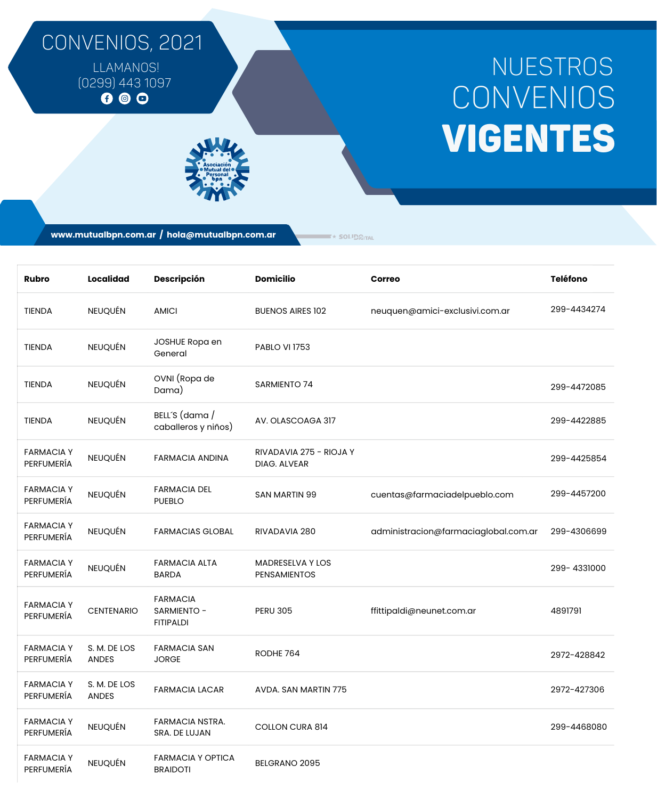## CONVENIOS, 2021

[LLAMANOS!](http://mutualbpn.com.ar/)  $(0299)$  443 1097

## VIGENTES **CONVENIOS** NUESTROS

**www.mutualbpn.com.ar / hola@mutualbpn.com.ar**

 $\blacktriangleright$  SOLIDGITAL

| Rubro                           | <b>Localidad</b>             | <b>Descripción</b>                                 | <b>Domicilio</b>                        | Correo                               | <b>Teléfono</b> |
|---------------------------------|------------------------------|----------------------------------------------------|-----------------------------------------|--------------------------------------|-----------------|
| <b>TIENDA</b>                   | <b>NEUQUÉN</b>               | <b>AMICI</b>                                       | <b>BUENOS AIRES 102</b>                 | neuquen@amici-exclusivi.com.ar       | 299-4434274     |
| TIENDA                          | <b>NEUQUÉN</b>               | JOSHUE Ropa en<br>General                          | <b>PABLO VI 1753</b>                    |                                      |                 |
| <b>TIENDA</b>                   | <b>NEUQUÉN</b>               | OVNI (Ropa de<br>Dama)                             | <b>SARMIENTO 74</b>                     |                                      | 299-4472085     |
| <b>TIENDA</b>                   | <b>NEUQUÉN</b>               | BELL'S (dama /<br>caballeros y niños)              | AV. OLASCOAGA 317                       |                                      | 299-4422885     |
| <b>FARMACIA Y</b><br>PERFUMERÍA | NEUQUÉN                      | <b>FARMACIA ANDINA</b>                             | RIVADAVIA 275 - RIOJA Y<br>DIAG. ALVEAR |                                      | 299-4425854     |
| <b>FARMACIA Y</b><br>PERFUMERÍA | NEUQUÉN                      | <b>FARMACIA DEL</b><br><b>PUEBLO</b>               | <b>SAN MARTIN 99</b>                    | cuentas@farmaciadelpueblo.com        | 299-4457200     |
| <b>FARMACIA Y</b><br>PERFUMERÍA | NEUQUÉN                      | <b>FARMACIAS GLOBAL</b>                            | RIVADAVIA 280                           | administracion@farmaciaglobal.com.ar | 299-4306699     |
| <b>FARMACIAY</b><br>PERFUMERÍA  | NEUQUÉN                      | <b>FARMACIA ALTA</b><br><b>BARDA</b>               | MADRESELVA Y LOS<br><b>PENSAMIENTOS</b> |                                      | 299-4331000     |
| <b>FARMACIA Y</b><br>PERFUMERÍA | <b>CENTENARIO</b>            | <b>FARMACIA</b><br>SARMIENTO -<br><b>FITIPALDI</b> | <b>PERU 305</b>                         | ffittipaldi@neunet.com.ar            | 4891791         |
| <b>FARMACIA Y</b><br>PERFUMERÍA | S. M. DE LOS<br><b>ANDES</b> | <b>FARMACIA SAN</b><br><b>JORGE</b>                | RODHE 764                               |                                      | 2972-428842     |
| <b>FARMACIA Y</b><br>PERFUMERÍA | S. M. DE LOS<br><b>ANDES</b> | <b>FARMACIA LACAR</b>                              | AVDA. SAN MARTIN 775                    |                                      | 2972-427306     |
| <b>FARMACIAY</b><br>PERFUMERÍA  | NEUQUÉN                      | FARMACIA NSTRA.<br>SRA. DE LUJAN                   | <b>COLLON CURA 814</b>                  |                                      | 299-4468080     |
| <b>FARMACIA Y</b><br>PERFUMERÍA | NEUQUÉN                      | <b>FARMACIA Y OPTICA</b><br><b>BRAIDOTI</b>        | BELGRANO 2095                           |                                      |                 |